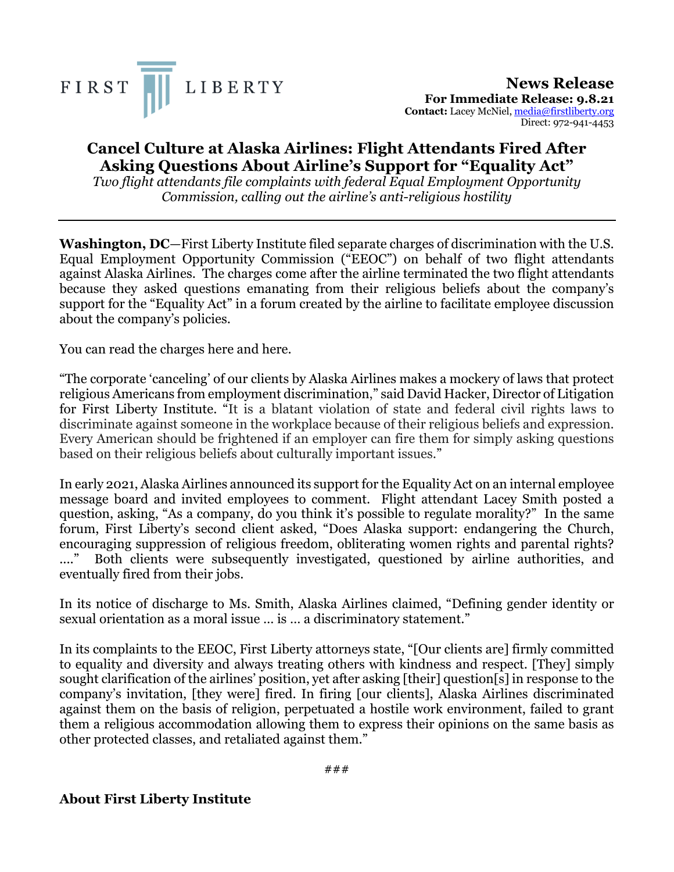

**News Release For Immediate Release: 9.8.21 Contact:** Lacey McNiel, media@firstliberty.org Direct: 972-941-4453

## **Cancel Culture at Alaska Airlines: Flight Attendants Fired After Asking Questions About Airline's Support for "Equality Act"**

*Two flight attendants file complaints with federal Equal Employment Opportunity Commission, calling out the airline's anti-religious hostility*

**Washington, DC**—First Liberty Institute filed separate charges of discrimination with the U.S. Equal Employment Opportunity Commission ("EEOC") on behalf of two flight attendants against Alaska Airlines. The charges come after the airline terminated the two flight attendants because they asked questions emanating from their religious beliefs about the company's support for the "Equality Act" in a forum created by the airline to facilitate employee discussion about the company's policies.

You can read the charges here and here.

"The corporate 'canceling' of our clients by Alaska Airlines makes a mockery of laws that protect religious Americans from employment discrimination," said David Hacker, Director of Litigation for First Liberty Institute. "It is a blatant violation of state and federal civil rights laws to discriminate against someone in the workplace because of their religious beliefs and expression. Every American should be frightened if an employer can fire them for simply asking questions based on their religious beliefs about culturally important issues."

In early 2021, Alaska Airlines announced its support for the Equality Act on an internal employee message board and invited employees to comment. Flight attendant Lacey Smith posted a question, asking, "As a company, do you think it's possible to regulate morality?" In the same forum, First Liberty's second client asked, "Does Alaska support: endangering the Church, encouraging suppression of religious freedom, obliterating women rights and parental rights? ...." Both clients were subsequently investigated, questioned by airline authorities, and eventually fired from their jobs.

In its notice of discharge to Ms. Smith, Alaska Airlines claimed, "Defining gender identity or sexual orientation as a moral issue … is … a discriminatory statement."

In its complaints to the EEOC, First Liberty attorneys state, "[Our clients are] firmly committed to equality and diversity and always treating others with kindness and respect. [They] simply sought clarification of the airlines' position, yet after asking [their] question[s] in response to the company's invitation, [they were] fired. In firing [our clients], Alaska Airlines discriminated against them on the basis of religion, perpetuated a hostile work environment, failed to grant them a religious accommodation allowing them to express their opinions on the same basis as other protected classes, and retaliated against them."

## **About First Liberty Institute**